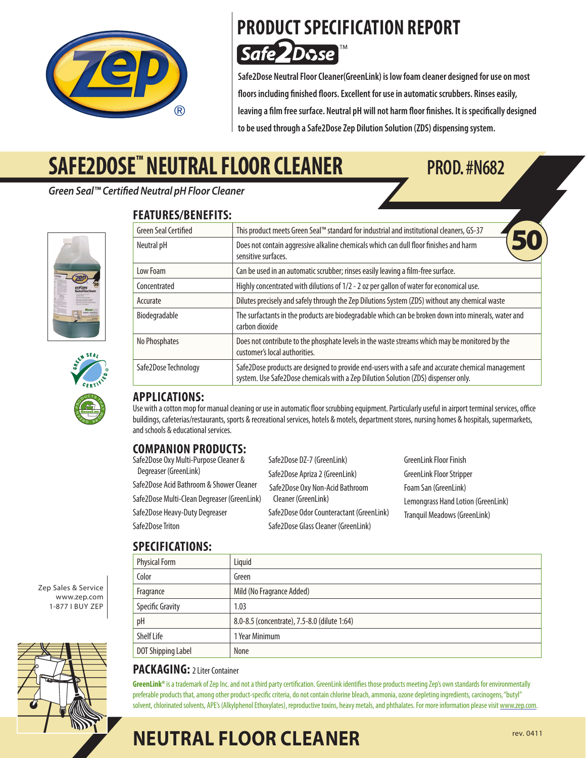

### **PRODUCT SPECIFICATION REPORT 2Dose** Safe,

**Safe2Dose Neutral Floor Cleaner(GreenLink) is low foam cleaner designed for use on most floors including finished floors. Excellent for use in automatic scrubbers. Rinses easily, leaving a film free surface. Neutral pH will not harm floor finishes. It is specifically designed to be used through a Safe2Dose Zep Dilution Solution (ZDS) dispensing system.**

# **SAFE2DOSE™ NEUTRAL FLOOR CLEANER PROD. #N682**

*Green Seal™ Certified Neutral pH Floor Cleaner*





### **FEATURES/BENEFITS:**

| <b>Green Seal Certified</b> | This product meets Green Seal™ standard for industrial and institutional cleaners, GS-37                                                                                                |  |
|-----------------------------|-----------------------------------------------------------------------------------------------------------------------------------------------------------------------------------------|--|
| Neutral pH                  | Does not contain aggressive alkaline chemicals which can dull floor finishes and harm<br>sensitive surfaces.                                                                            |  |
| Low Foam                    | Can be used in an automatic scrubber; rinses easily leaving a film-free surface.                                                                                                        |  |
| Concentrated                | Highly concentrated with dilutions of 1/2 - 2 oz per gallon of water for economical use.                                                                                                |  |
| Accurate                    | Dilutes precisely and safely through the Zep Dilutions System (ZDS) without any chemical waste                                                                                          |  |
| Biodegradable               | The surfactants in the products are biodegradable which can be broken down into minerals, water and<br>carbon dioxide                                                                   |  |
| No Phosphates               | Does not contribute to the phosphate levels in the waste streams which may be monitored by the<br>customer's local authorities.                                                         |  |
| Safe2Dose Technology        | Safe2Dose products are designed to provide end-users with a safe and accurate chemical management<br>system. Use Safe2Dose chemicals with a Zep Dilution Solution (ZDS) dispenser only. |  |

#### **APPLICATIONS:**

Use with a cotton mop for manual cleaning or use in automatic floor scrubbing equipment. Particularly useful in airport terminal services, office buildings, cafeterias/restaurants, sports & recreational services, hotels & motels, department stores, nursing homes & hospitals, supermarkets, and schools & educational services.

#### **COMPANION PRODUCTS:**

| Safe2Dose Oxy Multi-Purpose Cleaner &       | Safe2Dose DZ-7 (GreenLink)                             | <b>GreenLink Floor Finish</b>                              |
|---------------------------------------------|--------------------------------------------------------|------------------------------------------------------------|
| Degreaser (GreenLink)                       | Safe2Dose Apriza 2 (GreenLink)                         | GreenLink Floor Stripper                                   |
| Safe2Dose Acid Bathroom & Shower Cleaner    | Safe2Dose Oxy Non-Acid Bathroom<br>Cleaner (GreenLink) | Foam San (GreenLink)<br>Lemongrass Hand Lotion (GreenLink) |
| Safe2Dose Multi-Clean Degreaser (GreenLink) |                                                        |                                                            |
| Safe2Dose Heavy-Duty Degreaser              | Safe2Dose Odor Counteractant (GreenLink)               | <b>Tranquil Meadows (GreenLink)</b>                        |
| Safe2Dose Triton                            | Safe2Dose Glass Cleaner (GreenLink)                    |                                                            |

#### **SPECIFICATIONS:**

| <b>Physical Form</b>    | Liquid                                       |  |
|-------------------------|----------------------------------------------|--|
| Color                   | Green                                        |  |
| Fragrance               | Mild (No Fragrance Added)                    |  |
| <b>Specific Gravity</b> | 1.03                                         |  |
| pH                      | 8.0-8.5 (concentrate), 7.5-8.0 (dilute 1:64) |  |
| Shelf Life              | 1 Year Minimum                               |  |
| DOT Shipping Label      | None                                         |  |

#### PACKAGING: 21 iter Container

GreenLink® is a trademark of Zep Inc. and not a third party certification. GreenLink identifies those products meeting Zep's own standards for environmentally preferable products that, among other product-specific criteria, do not contain chlorine bleach, ammonia, ozone depleting ingredients, carcinogens, "butyl" solvent, chlorinated solvents, APE's (Alkylphenol Ethoxylates), reproductive toxins, heavy metals, and phthalates. For more information please visit www.zep.com.

www.zep.com 1-877 I Buy Zep

Zep Sales & Service



# **NEUTRAL FLOOR CLEANER**